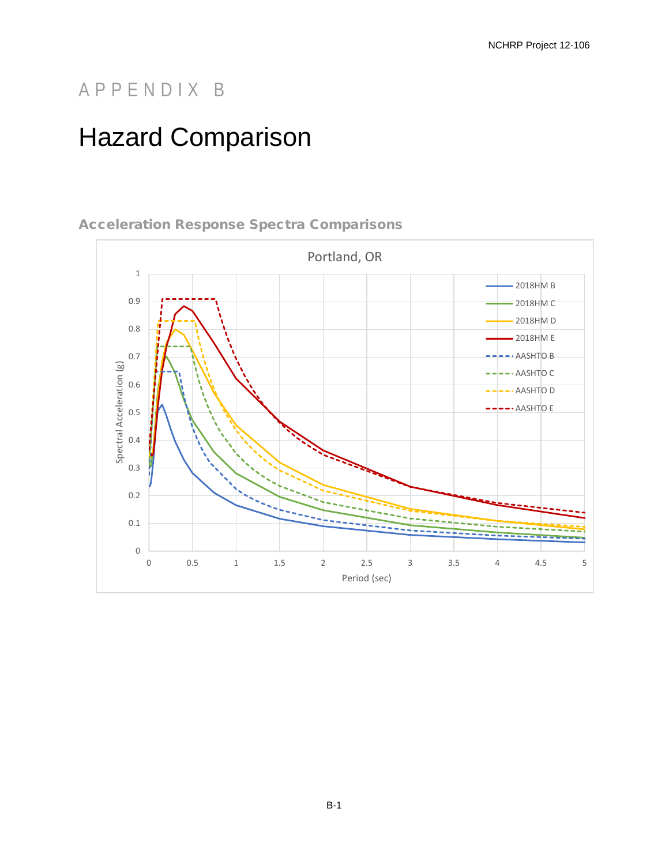## APPENDIX B

# Hazard Comparison



Acceleration Response Spectra Comparisons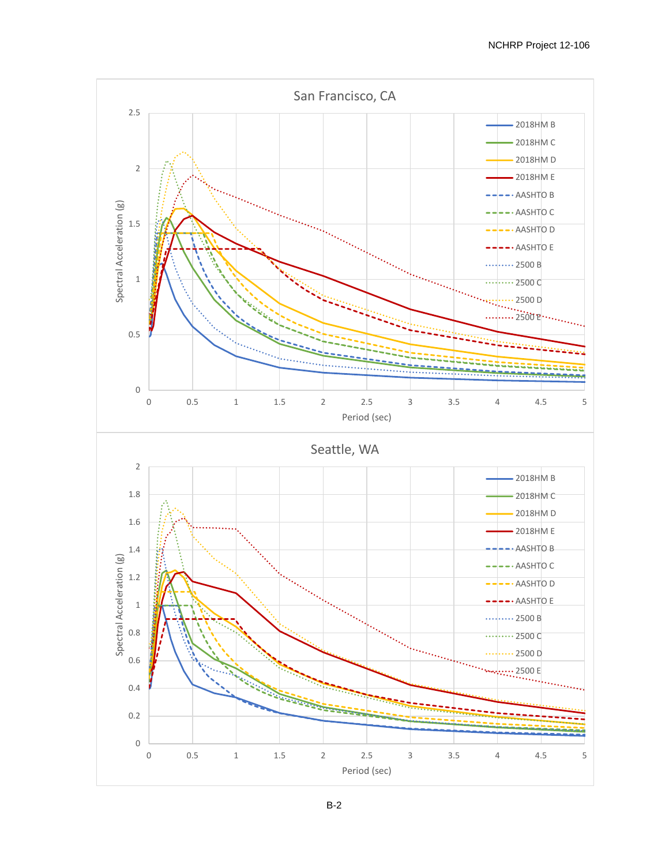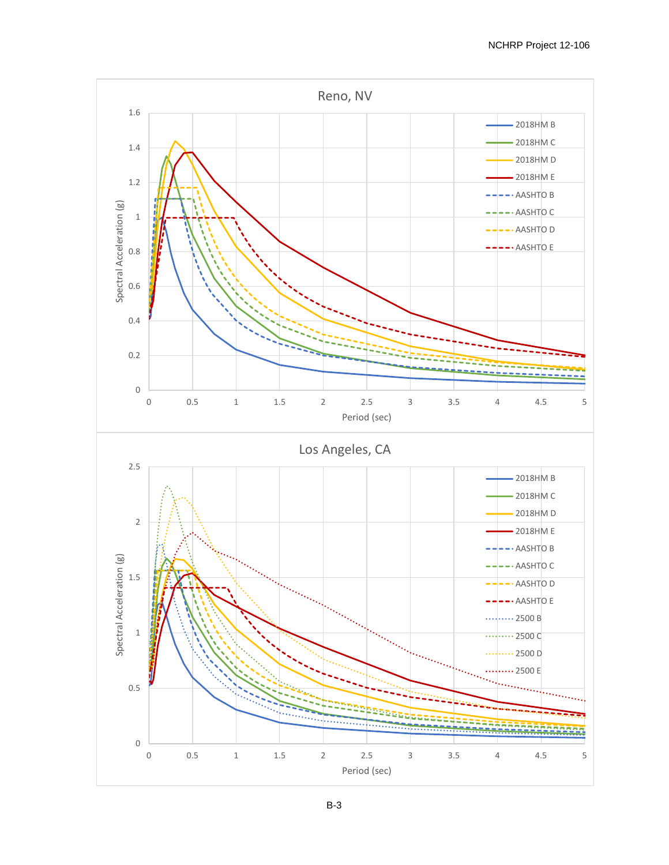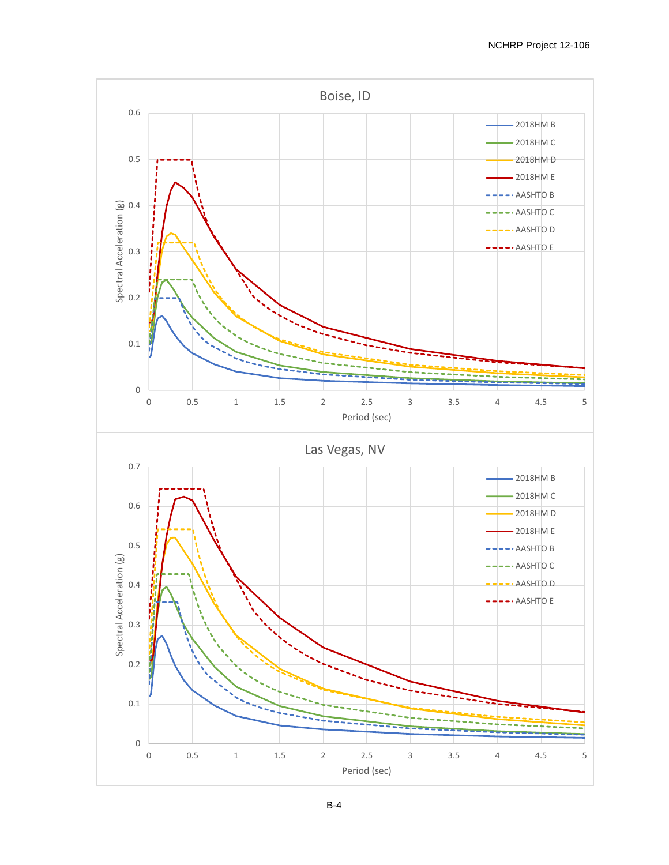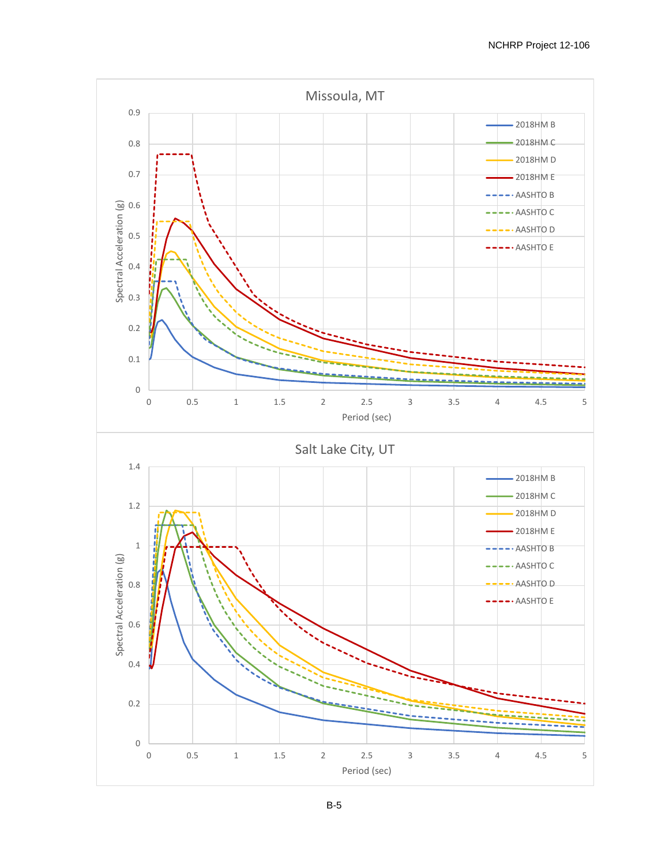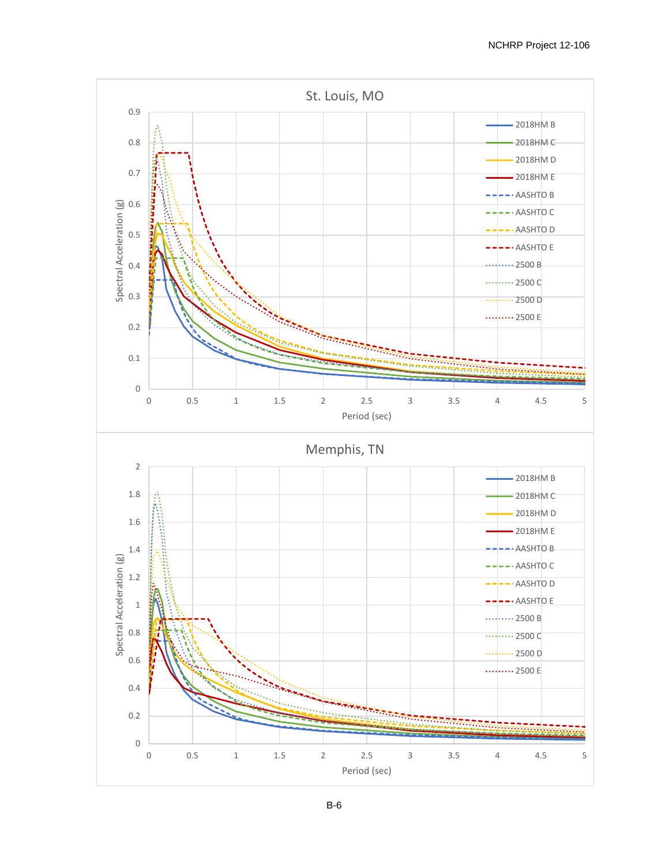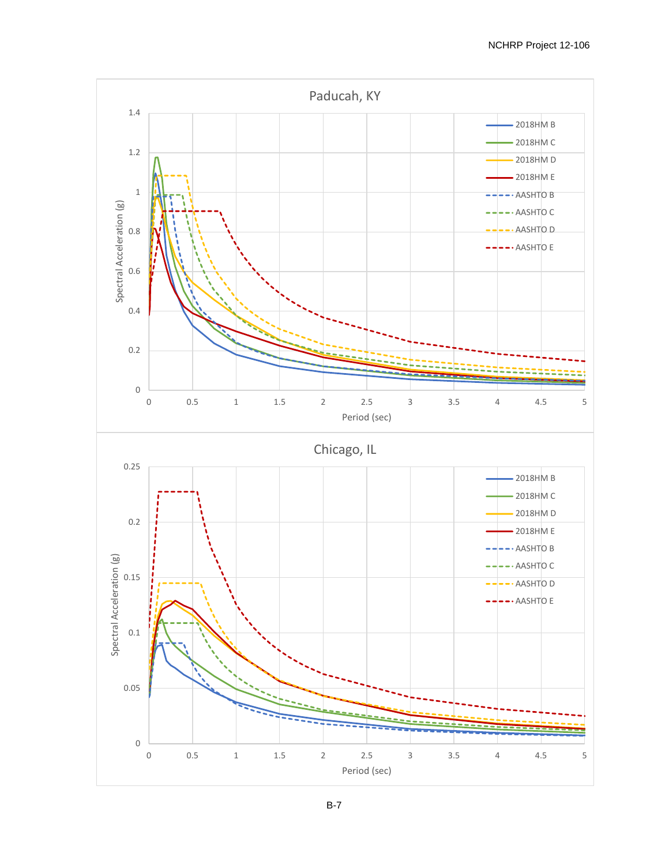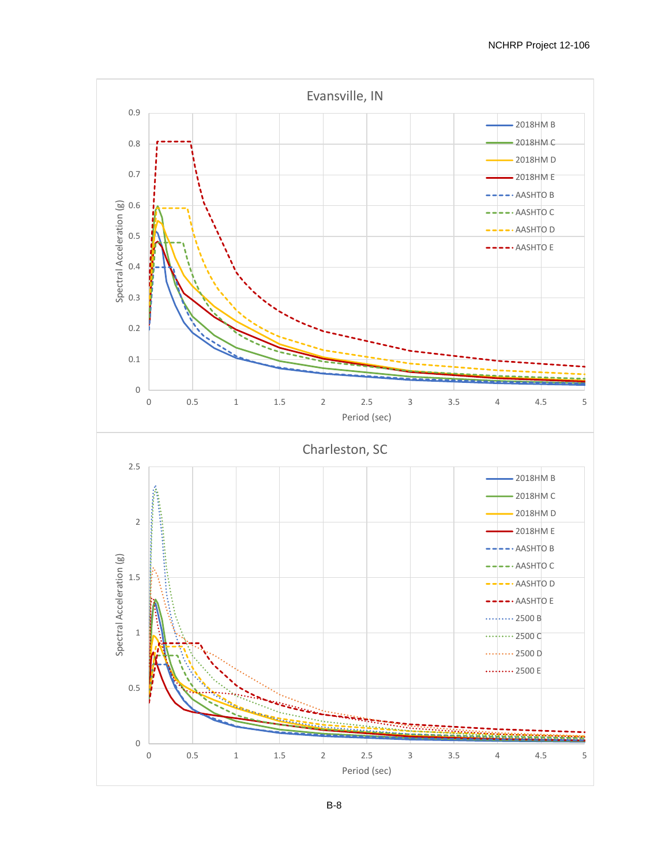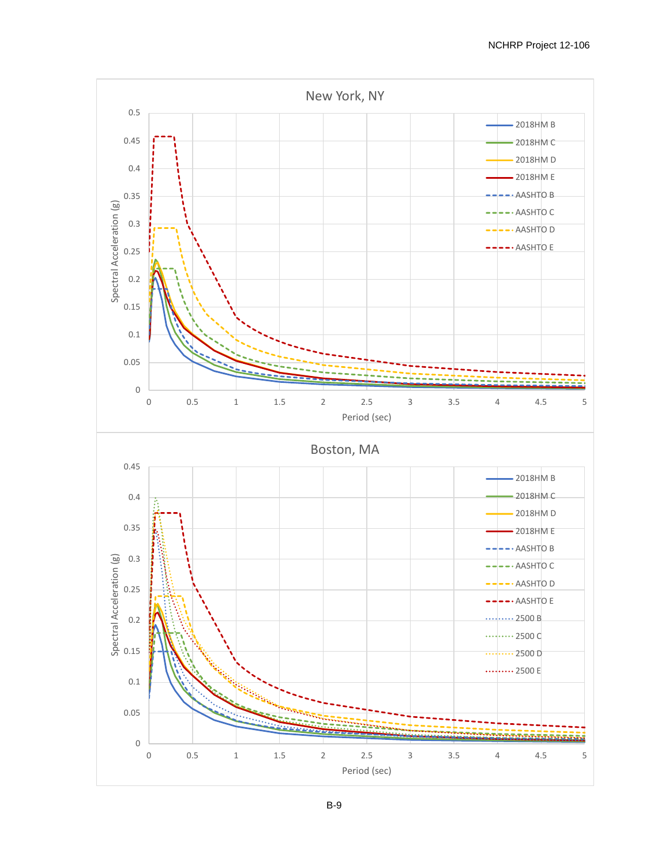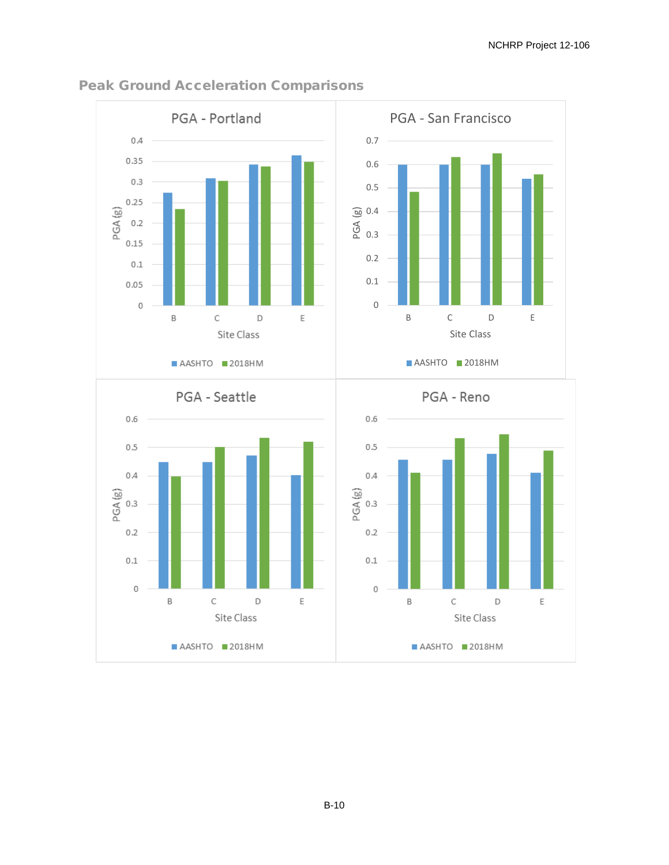

#### Peak Ground Acceleration Comparisons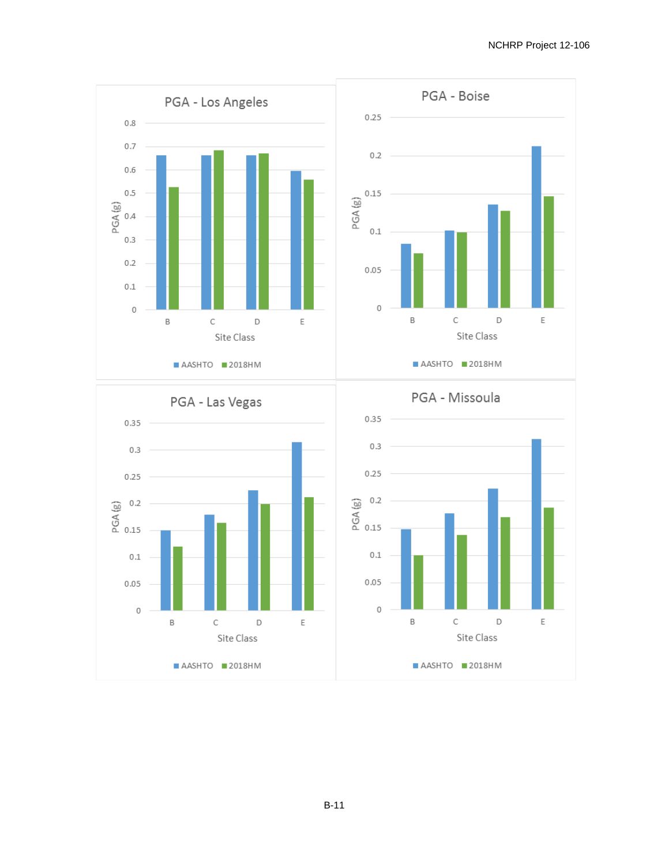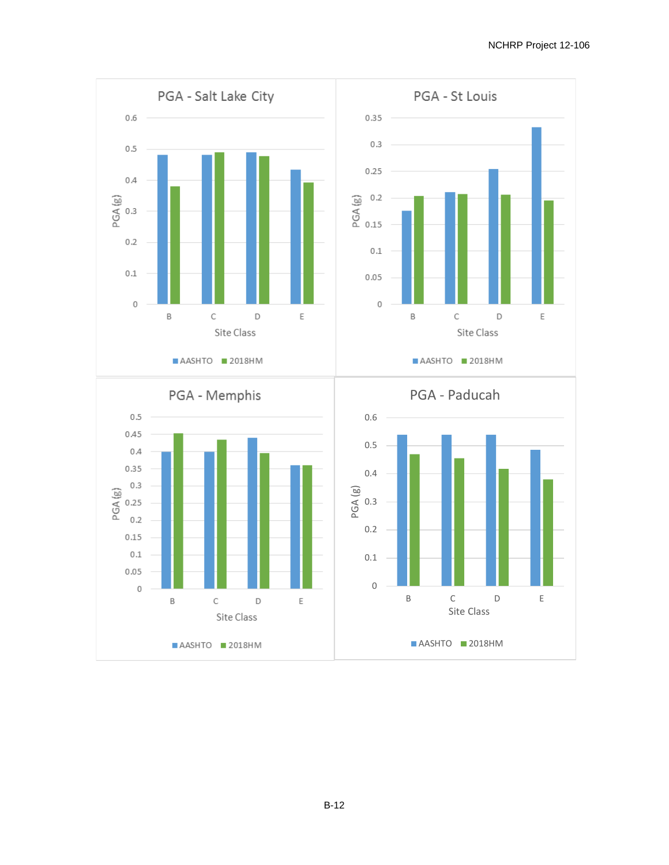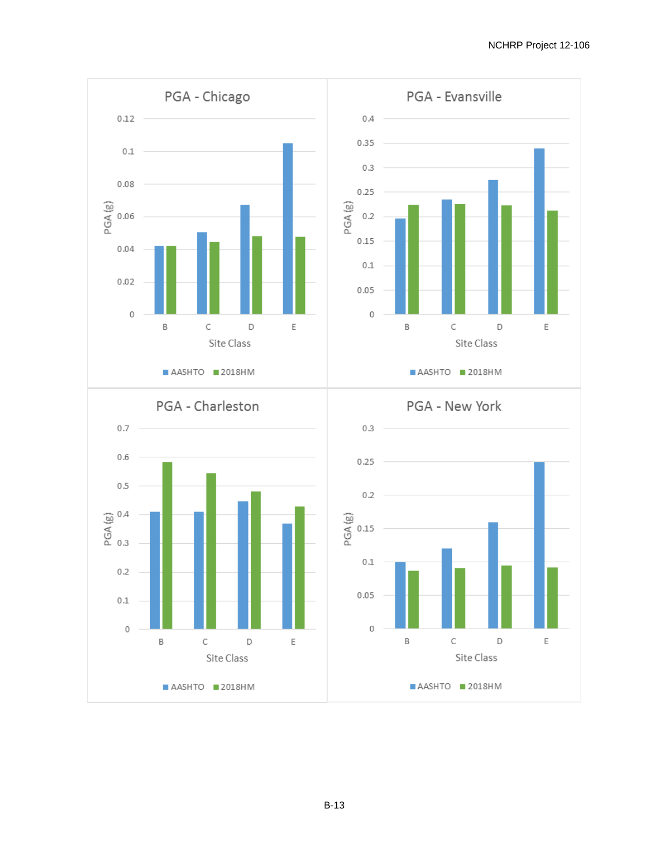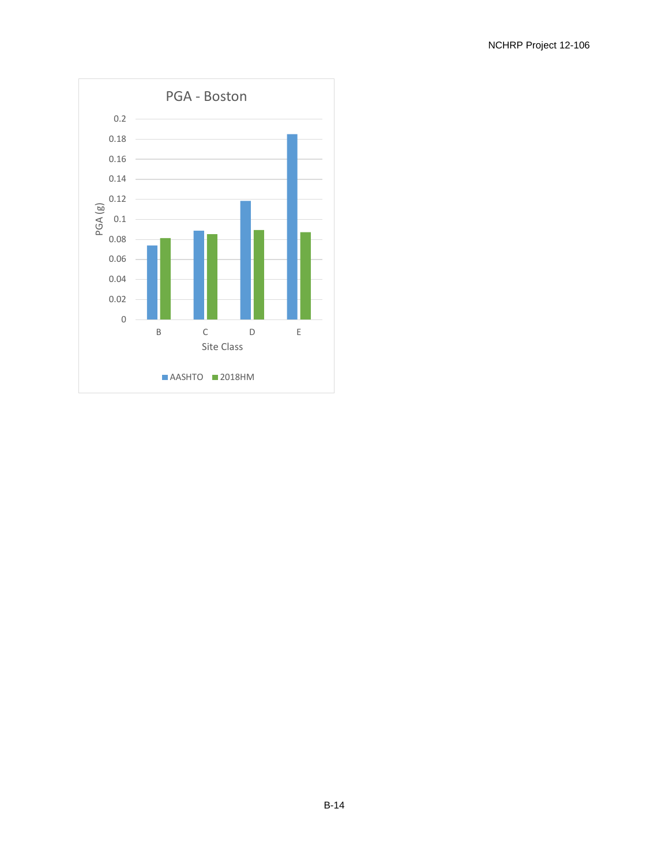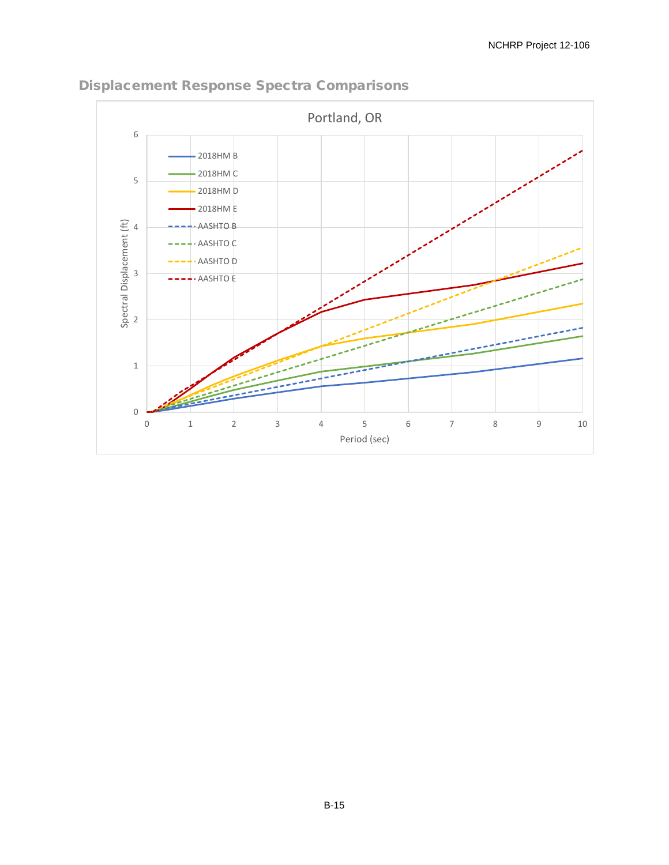

### Displacement Response Spectra Comparisons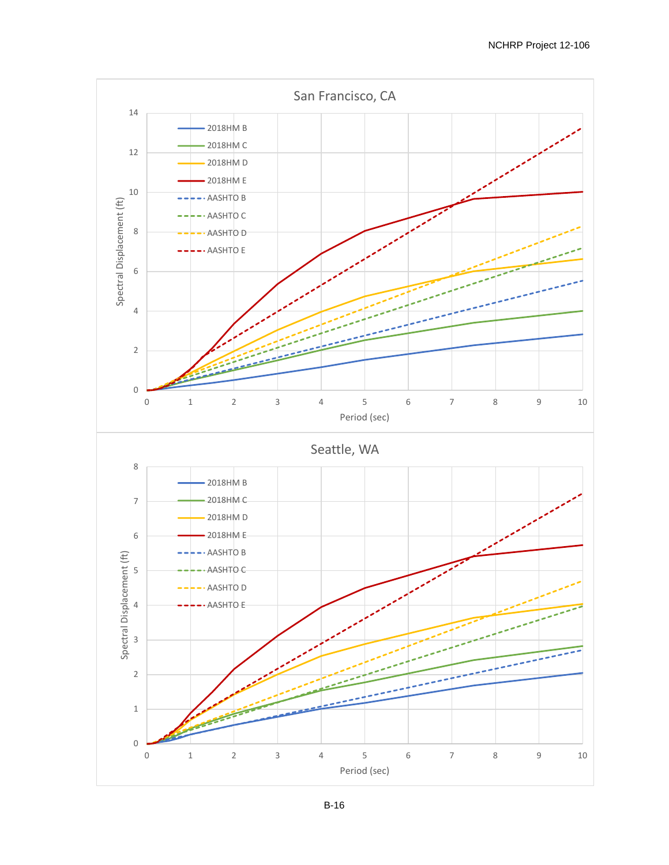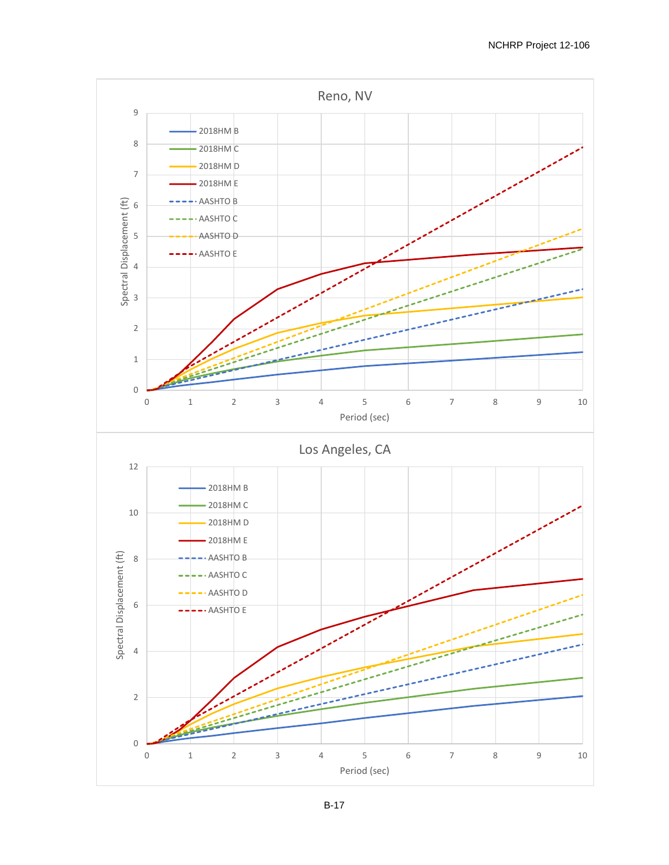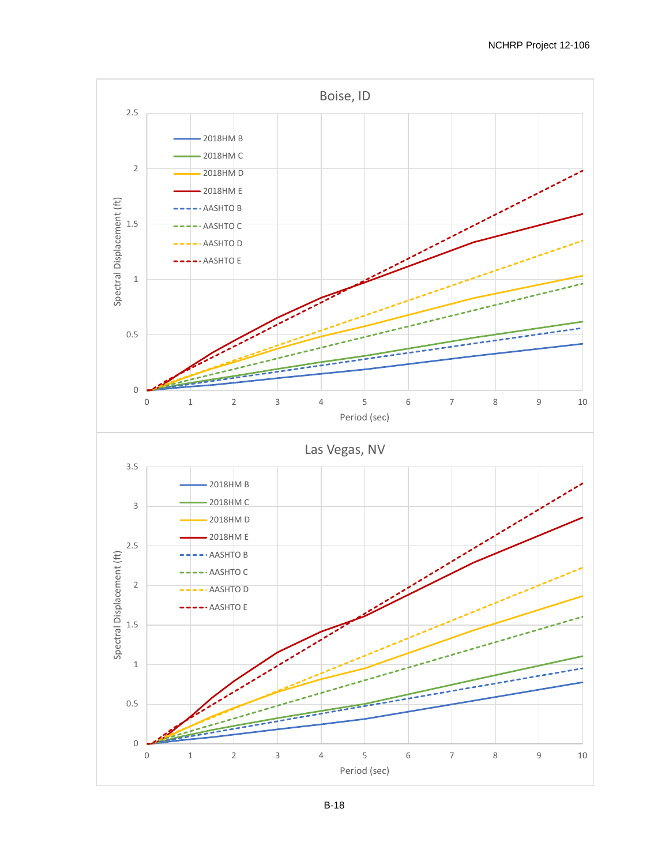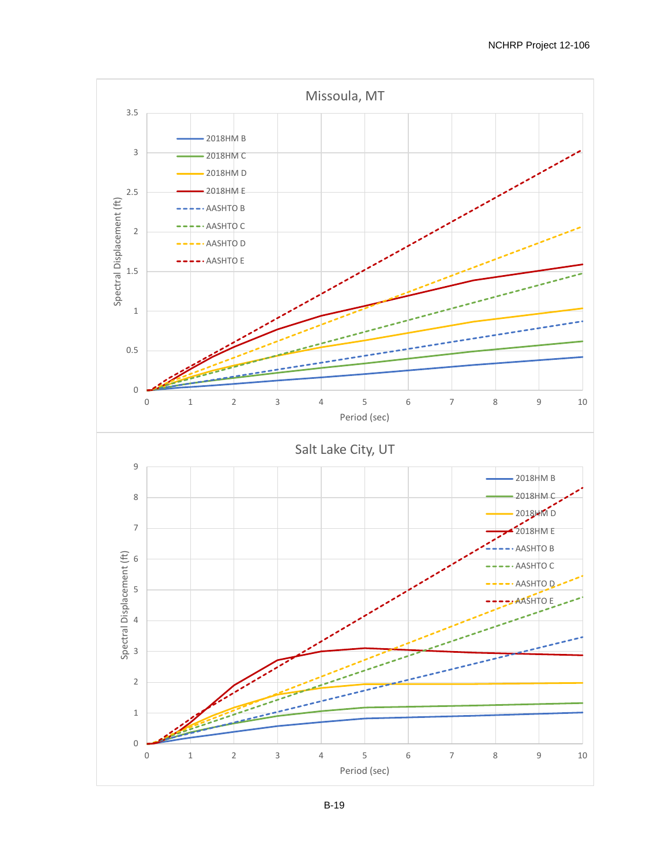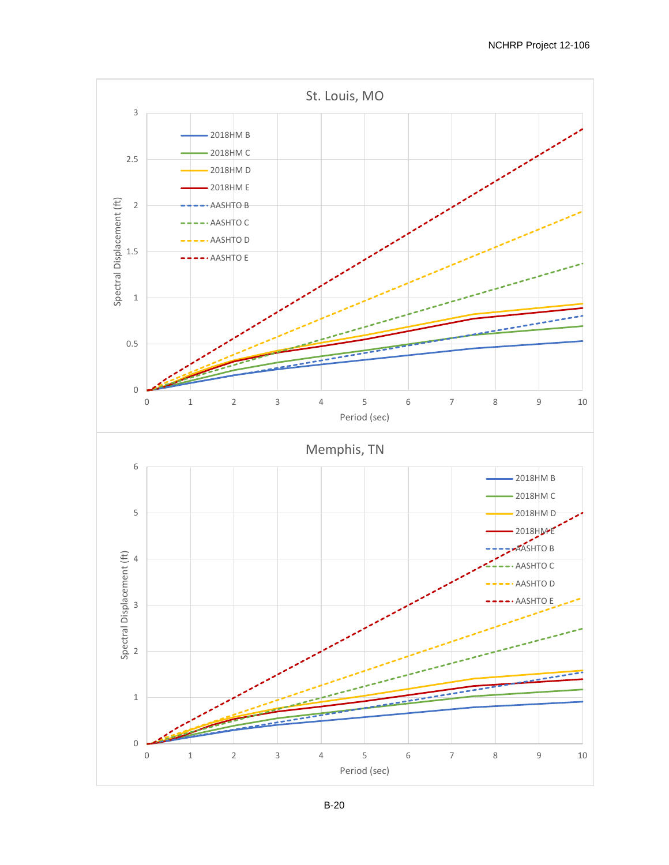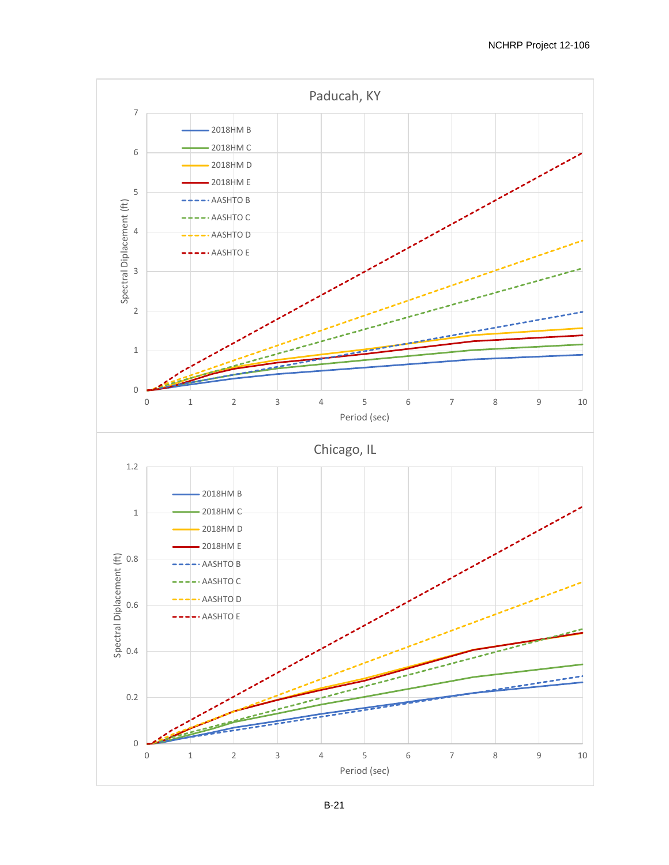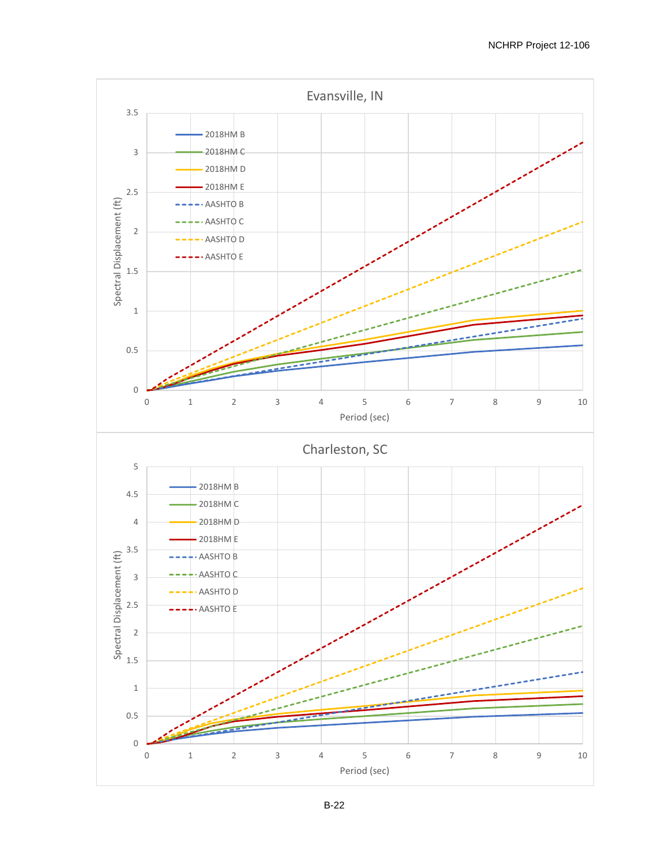